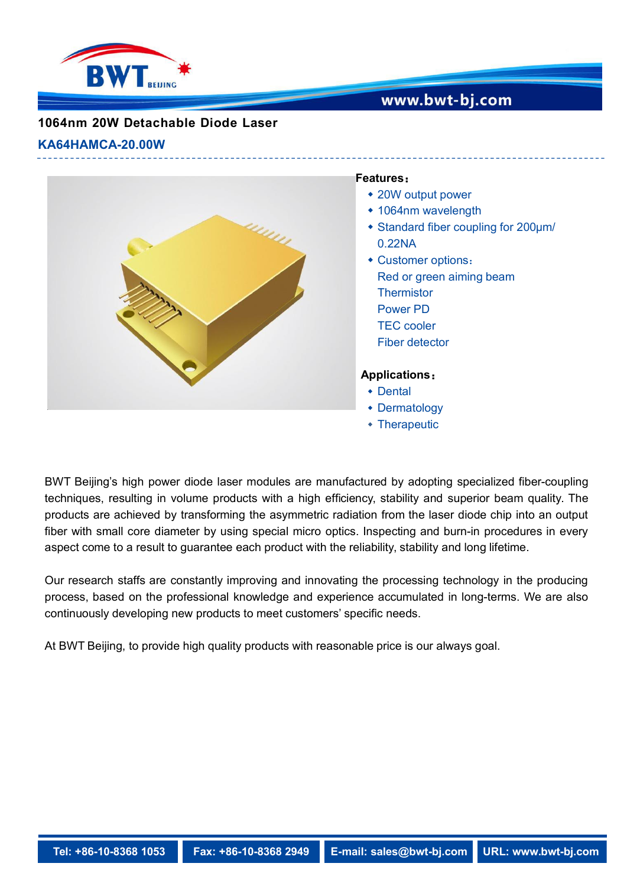

## www.bwt-bj.com

## **1064nm 20W Detachable Diode Laser**

#### **KA64HAMCA-20.00W**



#### **Features**:

- 20W output power
- 1064nm wavelength
- Standard fiber coupling for 200μm/ 0.22NA
- Customer options: Red or green aiming beam **Thermistor** Power PD TEC cooler Fiber detector

### **Applications**:

- Dental
- Dermatology
- Therapeutic

BWT Beijing's high power diode laser modules are manufactured by adopting specialized fiber-coupling techniques, resulting in volume products with a high efficiency, stability and superior beam quality. The products are achieved by transforming the asymmetric radiation from the laser diode chip into an output fiber with small core diameter by using special micro optics. Inspecting and burn-in procedures in every aspect come to a result to guarantee each product with the reliability, stability and long lifetime.

Our research staffs are constantly improving and innovating the processing technology in the producing process, based on the professional knowledge and experience accumulated in long-terms. We are also continuously developing new products to meet customers' specific needs.

At BWT Beijing, to provide high quality products with reasonable price is our always goal.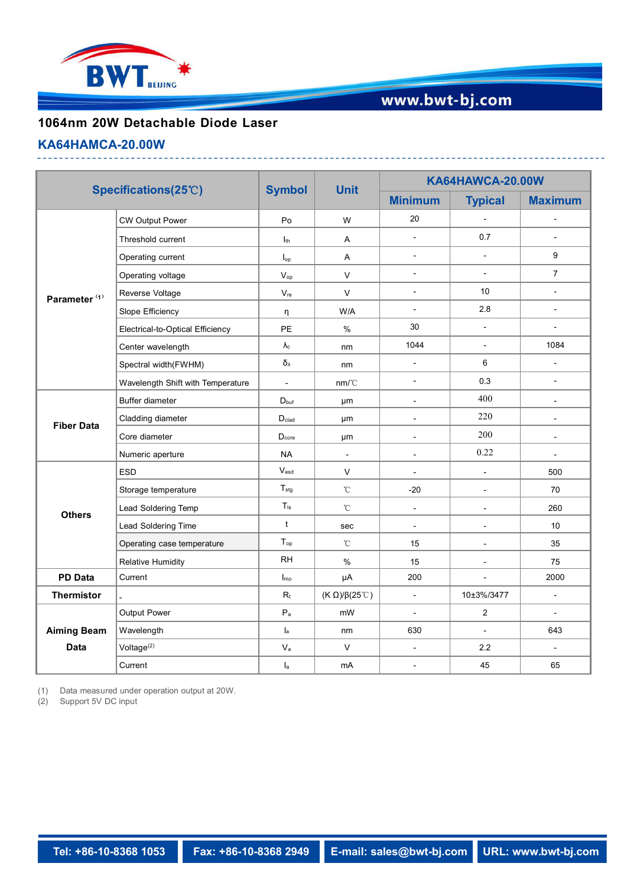

# www.bwt-bj.com

## **1064nm 20W Detachable Diode Laser**

#### **KA64HAMCA-20.00W**

| Specifications(25°C)              |                                   | <b>Symbol</b>                | <b>Unit</b>                          | <b>KA64HAWCA-20.00W</b>  |                          |                          |
|-----------------------------------|-----------------------------------|------------------------------|--------------------------------------|--------------------------|--------------------------|--------------------------|
|                                   |                                   |                              |                                      | <b>Minimum</b>           | <b>Typical</b>           | <b>Maximum</b>           |
| Parameter <sup>(1)</sup>          | <b>CW Output Power</b>            | Po                           | W                                    | 20                       | $\overline{a}$           | $\overline{a}$           |
|                                   | Threshold current                 | I <sub>th</sub>              | Α                                    | $\overline{a}$           | 0.7                      | $\overline{a}$           |
|                                   | Operating current                 | $I_{op}$                     | A                                    | $\blacksquare$           | $\mathbb{L}^2$           | 9                        |
|                                   | Operating voltage                 | $V_{op}$                     | $\mathsf{V}$                         | $\blacksquare$           | $\overline{a}$           | $\overline{7}$           |
|                                   | Reverse Voltage                   | $\mathsf{V}_{\mathsf{re}}$   | V                                    | $\blacksquare$           | 10                       | $\blacksquare$           |
|                                   | Slope Efficiency                  | $\eta$                       | W/A                                  | $\overline{\phantom{a}}$ | $2.8\,$                  | $\overline{\phantom{a}}$ |
|                                   | Electrical-to-Optical Efficiency  | PE                           | $\%$                                 | 30                       | $\blacksquare$           | $\blacksquare$           |
|                                   | Center wavelength                 | $\lambda_{\rm c}$            | nm                                   | 1044                     | $\blacksquare$           | 1084                     |
|                                   | Spectral width(FWHM)              | $\delta_{\lambda}$           | nm                                   | $\overline{\phantom{a}}$ | 6                        | $\blacksquare$           |
|                                   | Wavelength Shift with Temperature | $\overline{a}$               | nm/C                                 | $\blacksquare$           | 0.3                      | $\blacksquare$           |
| <b>Fiber Data</b>                 | Buffer diameter                   | $D_{\text{buf}}$             | μm                                   | $\blacksquare$           | 400                      | $\overline{\phantom{a}}$ |
|                                   | Cladding diameter                 | $\mathsf{D}_{\mathsf{clad}}$ | μm                                   | $\blacksquare$           | 220                      | $\blacksquare$           |
|                                   | Core diameter                     | D <sub>core</sub>            | μm                                   | $\blacksquare$           | 200                      | $\blacksquare$           |
|                                   | Numeric aperture                  | <b>NA</b>                    | $\sim$                               | $\overline{\phantom{a}}$ | 0.22                     | $\blacksquare$           |
| <b>Others</b>                     | <b>ESD</b>                        | $V_{\sf esd}$                | V                                    | $\blacksquare$           | $\overline{a}$           | 500                      |
|                                   | Storage temperature               | $\mathsf{T}_{\text{stg}}$    | $^\circ\!{\rm C}$                    | $-20$                    | $\blacksquare$           | 70                       |
|                                   | Lead Soldering Temp               | $T_{\rm ls}$                 | $^\circ\!{\rm C}$                    | $\sim$                   | $\blacksquare$           | 260                      |
|                                   | Lead Soldering Time               | t                            | sec                                  | $\overline{\phantom{a}}$ | $\overline{\phantom{a}}$ | 10                       |
|                                   | Operating case temperature        | $T_{op}$                     | $^\circ\!{\rm C}$                    | 15                       | $\sim$                   | 35                       |
|                                   | <b>Relative Humidity</b>          | RH                           | $\%$                                 | 15                       | $\overline{\phantom{a}}$ | 75                       |
| <b>PD Data</b>                    | Current                           | $\mathsf{I}_{\mathsf{mo}}$   | μA                                   | 200                      | $\overline{a}$           | 2000                     |
| <b>Thermistor</b>                 |                                   | $R_t$                        | $(K \Omega)/\beta(25^\circ\text{C})$ | $\blacksquare$           | 10±3%/3477               | $\blacksquare$           |
| <b>Aiming Beam</b><br><b>Data</b> | Output Power                      | $\mathsf{P}_\mathsf{a}$      | mW                                   | $\blacksquare$           | $\overline{c}$           | $\blacksquare$           |
|                                   | Wavelength                        | $I_{a}$                      | nm                                   | 630                      | $\overline{\phantom{a}}$ | 643                      |
|                                   | Voltage <sup>(2)</sup>            | $\mathsf{V}_{\mathsf{a}}$    | $\mathsf{V}$                         | $\overline{\phantom{a}}$ | 2.2                      | $\sim$                   |
|                                   | Current                           | $I_a$                        | mA                                   | $\blacksquare$           | 45                       | 65                       |
|                                   |                                   |                              |                                      |                          |                          |                          |

(1) Data measured under operation output at 20W.

(2) Support 5V DC input